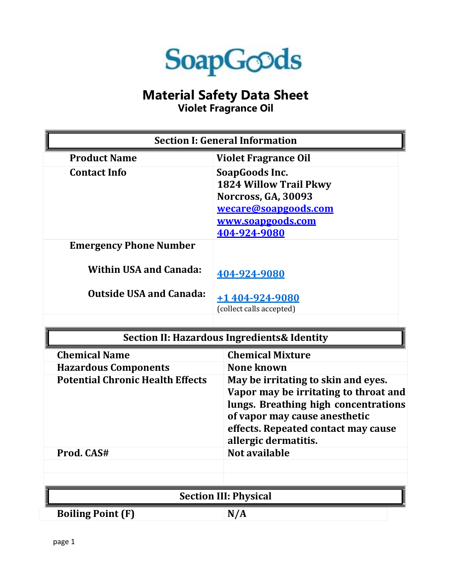

## **Material Safety Data Sheet**

**Violet Fragrance Oil**

| <b>Section I: General Information</b>       |                                                                                                                                                                                                                      |
|---------------------------------------------|----------------------------------------------------------------------------------------------------------------------------------------------------------------------------------------------------------------------|
| <b>Product Name</b>                         | <b>Violet Fragrance Oil</b>                                                                                                                                                                                          |
| <b>Contact Info</b>                         | SoapGoods Inc.<br><b>1824 Willow Trail Pkwy</b><br><b>Norcross, GA, 30093</b><br>wecare@soapgoods.com<br>www.soapgoods.com<br>404-924-9080                                                                           |
| <b>Emergency Phone Number</b>               |                                                                                                                                                                                                                      |
| <b>Within USA and Canada:</b>               | 404-924-9080                                                                                                                                                                                                         |
| <b>Outside USA and Canada:</b>              | +1 404-924-9080                                                                                                                                                                                                      |
|                                             | (collect calls accepted)                                                                                                                                                                                             |
|                                             |                                                                                                                                                                                                                      |
| Section II: Hazardous Ingredients& Identity |                                                                                                                                                                                                                      |
| <b>Chemical Name</b>                        | <b>Chemical Mixture</b>                                                                                                                                                                                              |
| <b>Hazardous Components</b>                 | <b>None known</b>                                                                                                                                                                                                    |
| <b>Potential Chronic Health Effects</b>     | May be irritating to skin and eyes.<br>Vapor may be irritating to throat and<br>lungs. Breathing high concentrations<br>of vapor may cause anesthetic<br>effects. Repeated contact may cause<br>allergic dermatitis. |
|                                             |                                                                                                                                                                                                                      |
| Prod. CAS#                                  | Not available                                                                                                                                                                                                        |
|                                             |                                                                                                                                                                                                                      |
|                                             |                                                                                                                                                                                                                      |
|                                             | <b>Section III: Physical</b>                                                                                                                                                                                         |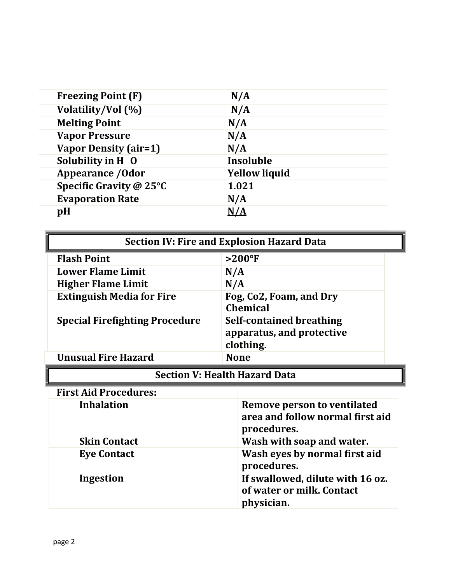| <b>Freezing Point (F)</b>    | N/A                  |
|------------------------------|----------------------|
| Volatility/Vol (%)           | N/A                  |
| <b>Melting Point</b>         | N/A                  |
| <b>Vapor Pressure</b>        | N/A                  |
| <b>Vapor Density (air=1)</b> | N/A                  |
| Solubility in H 0            | Insoluble            |
| <b>Appearance / Odor</b>     | <b>Yellow liquid</b> |
| Specific Gravity @ 25°C      | 1.021                |
| <b>Evaporation Rate</b>      | N/A                  |
| pH                           | N/A                  |
|                              |                      |

| <b>Section IV: Fire and Explosion Hazard Data</b> |                                                                           |  |
|---------------------------------------------------|---------------------------------------------------------------------------|--|
| <b>Flash Point</b>                                | $>200$ °F                                                                 |  |
| <b>Lower Flame Limit</b>                          | N/A                                                                       |  |
| <b>Higher Flame Limit</b>                         | N/A                                                                       |  |
| <b>Extinguish Media for Fire</b>                  | Fog, Co2, Foam, and Dry<br><b>Chemical</b>                                |  |
| <b>Special Firefighting Procedure</b>             | <b>Self-contained breathing</b><br>apparatus, and protective<br>clothing. |  |
| <b>Unusual Fire Hazard</b>                        | <b>None</b>                                                               |  |
| <b>Section V: Health Hazard Data</b>              |                                                                           |  |

## **Section V: Health Hazard Data**

| Section V: Health Hazard Data |                                                                                |
|-------------------------------|--------------------------------------------------------------------------------|
| <b>First Aid Procedures:</b>  |                                                                                |
| <b>Inhalation</b>             | Remove person to ventilated<br>area and follow normal first aid<br>procedures. |
| <b>Skin Contact</b>           | Wash with soap and water.                                                      |
| <b>Eye Contact</b>            | Wash eyes by normal first aid<br>procedures.                                   |
| Ingestion                     | If swallowed, dilute with 16 oz.<br>of water or milk. Contact<br>physician.    |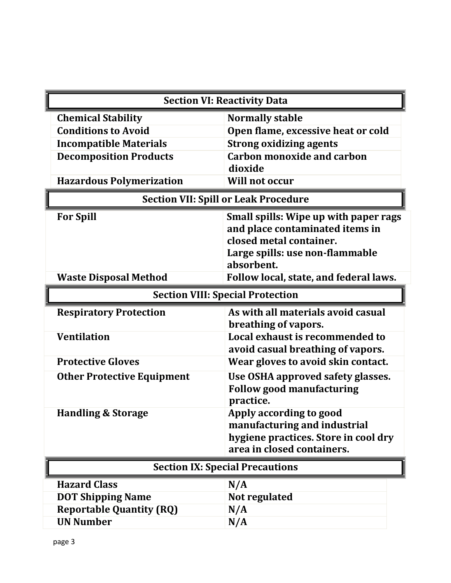|                                                     | <b>Section VI: Reactivity Data</b>                                                                                                                   |  |
|-----------------------------------------------------|------------------------------------------------------------------------------------------------------------------------------------------------------|--|
| <b>Chemical Stability</b>                           | <b>Normally stable</b>                                                                                                                               |  |
| <b>Conditions to Avoid</b>                          | Open flame, excessive heat or cold                                                                                                                   |  |
| <b>Incompatible Materials</b>                       | <b>Strong oxidizing agents</b>                                                                                                                       |  |
| <b>Decomposition Products</b>                       | <b>Carbon monoxide and carbon</b>                                                                                                                    |  |
|                                                     | dioxide                                                                                                                                              |  |
| <b>Hazardous Polymerization</b>                     | Will not occur                                                                                                                                       |  |
| <b>Section VII: Spill or Leak Procedure</b>         |                                                                                                                                                      |  |
| <b>For Spill</b>                                    | Small spills: Wipe up with paper rags<br>and place contaminated items in<br>closed metal container.<br>Large spills: use non-flammable<br>absorbent. |  |
| <b>Waste Disposal Method</b>                        | Follow local, state, and federal laws.                                                                                                               |  |
| <b>Section VIII: Special Protection</b>             |                                                                                                                                                      |  |
| <b>Respiratory Protection</b><br><b>Ventilation</b> | As with all materials avoid casual<br>breathing of vapors.<br>Local exhaust is recommended to                                                        |  |
|                                                     | avoid casual breathing of vapors.                                                                                                                    |  |
| <b>Protective Gloves</b>                            | Wear gloves to avoid skin contact.                                                                                                                   |  |
| <b>Other Protective Equipment</b>                   | Use OSHA approved safety glasses.<br><b>Follow good manufacturing</b><br>practice.                                                                   |  |
| <b>Handling &amp; Storage</b>                       | Apply according to good<br>manufacturing and industrial<br>hygiene practices. Store in cool dry<br>area in closed containers.                        |  |
| <b>Section IX: Special Precautions</b>              |                                                                                                                                                      |  |
| <b>Hazard Class</b>                                 | N/A                                                                                                                                                  |  |
| <b>DOT Shipping Name</b>                            | Not regulated                                                                                                                                        |  |
| <b>Reportable Quantity (RQ)</b>                     | N/A                                                                                                                                                  |  |
| <b>UN Number</b>                                    | N/A                                                                                                                                                  |  |